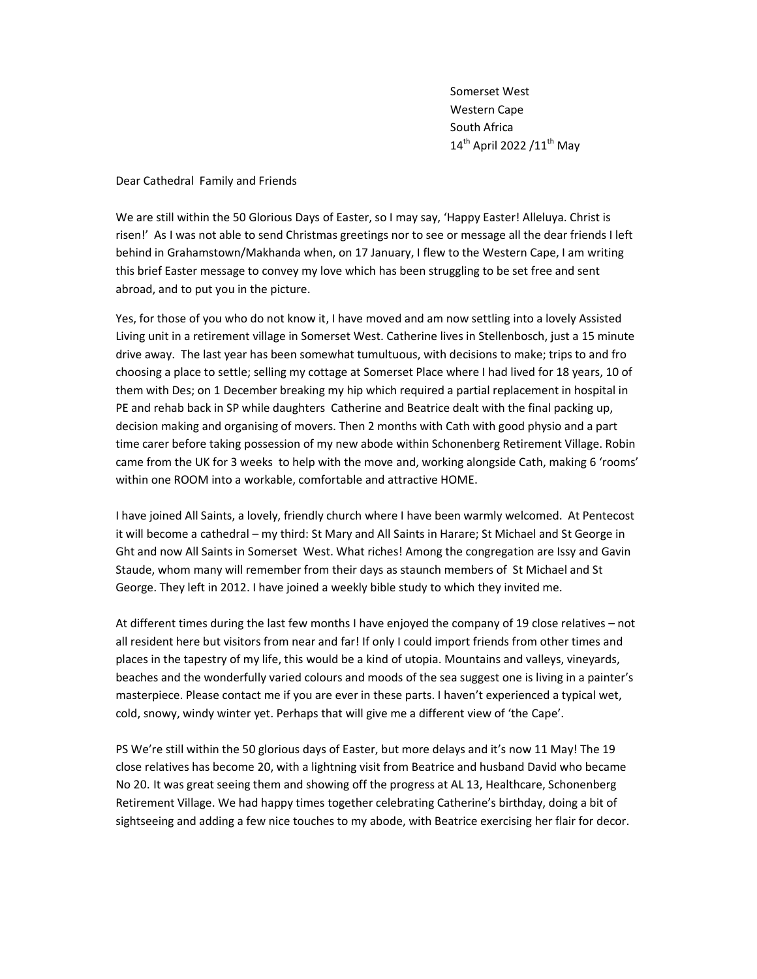Somerset West Western Cape South Africa  $14^{\text{th}}$  April 2022 /11<sup>th</sup> May

Dear Cathedral Family and Friends

We are still within the 50 Glorious Days of Easter, so I may say, 'Happy Easter! Alleluya. Christ is risen!' As I was not able to send Christmas greetings nor to see or message all the dear friends I left behind in Grahamstown/Makhanda when, on 17 January, I flew to the Western Cape, I am writing this brief Easter message to convey my love which has been struggling to be set free and sent abroad, and to put you in the picture.

Yes, for those of you who do not know it, I have moved and am now settling into a lovely Assisted Living unit in a retirement village in Somerset West. Catherine lives in Stellenbosch, just a 15 minute drive away. The last year has been somewhat tumultuous, with decisions to make; trips to and fro choosing a place to settle; selling my cottage at Somerset Place where I had lived for 18 years, 10 of them with Des; on 1 December breaking my hip which required a partial replacement in hospital in PE and rehab back in SP while daughters Catherine and Beatrice dealt with the final packing up, decision making and organising of movers. Then 2 months with Cath with good physio and a part time carer before taking possession of my new abode within Schonenberg Retirement Village. Robin came from the UK for 3 weeks to help with the move and, working alongside Cath, making 6 'rooms' within one ROOM into a workable, comfortable and attractive HOME.

I have joined All Saints, a lovely, friendly church where I have been warmly welcomed. At Pentecost it will become a cathedral – my third: St Mary and All Saints in Harare; St Michael and St George in Ght and now All Saints in Somerset West. What riches! Among the congregation are Issy and Gavin Staude, whom many will remember from their days as staunch members of St Michael and St George. They left in 2012. I have joined a weekly bible study to which they invited me.

At different times during the last few months I have enjoyed the company of 19 close relatives – not all resident here but visitors from near and far! If only I could import friends from other times and places in the tapestry of my life, this would be a kind of utopia. Mountains and valleys, vineyards, beaches and the wonderfully varied colours and moods of the sea suggest one is living in a painter's masterpiece. Please contact me if you are ever in these parts. I haven't experienced a typical wet, cold, snowy, windy winter yet. Perhaps that will give me a different view of 'the Cape'.

PS We're still within the 50 glorious days of Easter, but more delays and it's now 11 May! The 19 close relatives has become 20, with a lightning visit from Beatrice and husband David who became No 20. It was great seeing them and showing off the progress at AL 13, Healthcare, Schonenberg Retirement Village. We had happy times together celebrating Catherine's birthday, doing a bit of sightseeing and adding a few nice touches to my abode, with Beatrice exercising her flair for decor.